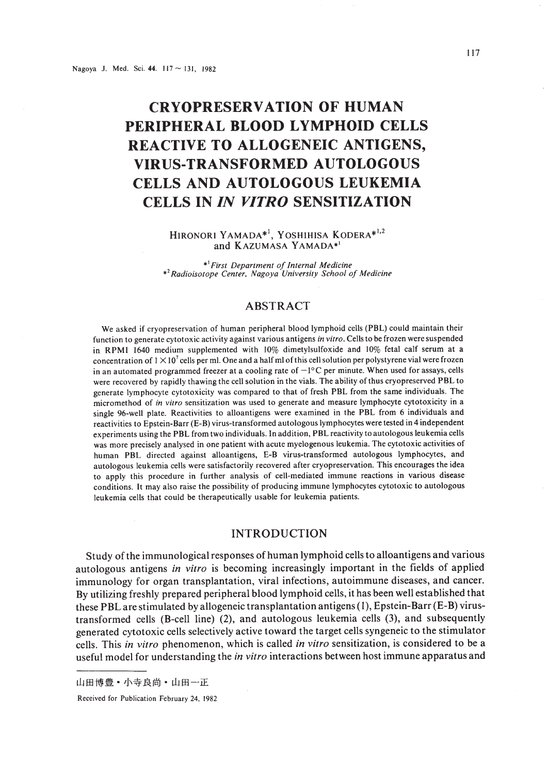# **CRYOPRESERVATION OF HUMAN PERIPHERAL BLOOD LYMPHOID CELLS REACTIVE TO ALLOGENEIC ANTIGENS, VIRUS-TRANSFORMED AUTOLOGOUS CELLS AND AUTOLOGOUS LEUKEMIA CELLS IN** *IN VITRO* **SENSITIZATION**

HIRONORI YAMADA\*<sup>1</sup>, YOSHIHISA KODERA\*<sup>1,2</sup> and KAZUMASA YAMADA\*<sup>1</sup>

.' *First Department of Internal Medicine* .'*Radioisotope Center, Nagoya University School of Medicine*

## ABSTRACT

We asked if cryopreservation of human peripheral blood lymphoid cells (PBL) could maintain their function to generate cytotoxic activity against various antigens *in vitro.* Cells to be frozen were suspended in RPMI 1640 medium supplemented with 10% dimetylsulfoxide and 10% fetal calf serum at a concentration of  $1 \times 10^7$  cells per ml. One and a half ml of this cell solution per polystyrene vial were frozen in an automated programmed freezer at a cooling rate of  $-1^{\circ}C$  per minute. When used for assays, cells were recovered by rapidly thawing the cell solution in the vials. The ability of thus cryopreserved PBL to generate lymphocyte cytotoxicity was compared to that of fresh PBL from the same individuals. The micromethod of *in vitro* sensitization was used to generate and measure lymphocyte cytotoxicity in a single 96-well plate. Reactivities to alloantigens were examined in the PBL from 6 individuals and reactivities to Epstein-Barr (E-B) virus-transformed autologous lymphocytes were tested in 4 independent experiments using the PBL from two individuals. In addition, PBL reactivity to autologous leukemia cells was more precisely analysed in one patient with acute myelogenous leukemia. The cytotoxic activities of human PBL directed against alloantigens, E-B virus-transformed autologous lymphocytes, and autologous leukemia cells were satisfactorily recovered after cryopreservation. This encourages the idea to apply this procedure in further analysis of cell-mediated immune reactions in various disease conditions. It may also raise the possibility of producing immune lymphocytes cytotoxic to autologous leukemia cells that could be therapeutically usable for leukemia patients.

#### INTRODUCTION

Study ofthe immunological responses of human lymphoid cells to alloantigens and various autologous antigens *in vitro* is becoming increasingly important in the fields of applied immunology for organ transplantation, viral infections, autoimmune diseases, and cancer. By utilizing freshly prepared peripheral blood lymphoid cells, it has been well established that these PBLare stimulated by allogeneic transplantation antigens (I), Epstein-Barr (E-B) virustransformed cells (B-cell line) (2), and autologous leukemia cells (3), and subsequently generated cytotoxic cells selectively active toward the target cells syngeneic to the stimulator cells. This *in vitro* phenomenon, which is called *in vitro* sensitization, is considered to be a useful model for understanding the *in vitro* interactions between host immune apparatus and

山田博豊 • 小寺良尚 • 山田一正

Received for Publication February 24, 1982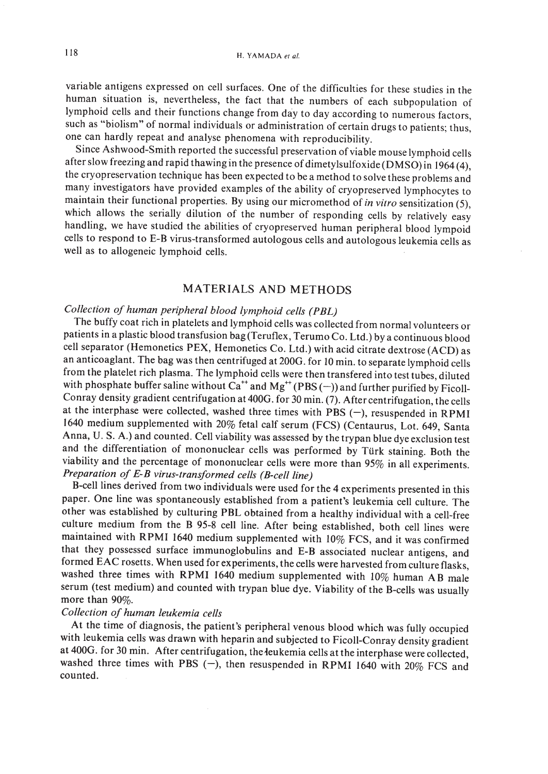variable antigens expressed on cell surfaces. One of the difficulties for these studies in the human situation is, nevertheless, the fact that the numbers of each subpopulation of lymphoid cells and their functions change from day to day according to numerous factors, such as "biolism" of normal individuals or administration of certain drugs to patients; thus, one can hardly repeat and analyse phenomena with reproducibility.

Since Ashwood-Smith reported the successful preservation of viable mouse lymphoid cells after slow freezing and rapid thawing in the presence of dimetylsulfoxide (DMSO) in 1964 (4), the cryopreservation technique has been expected to be a method to solve these problems and many investigators have provided examples of the ability of cryopreserved lymphocytes to maintain their functional properties. By using our micromethod of *in vitro* sensitization (5), which allows the serially dilution of the number of responding cells by relatively easy handling, we have studied the abilities of cryopreserved human peripheral blood lympoid cells to respond to E-B virus-transformed autologous cells and autologous leukemia cells as well as to allogeneic lymphoid cells.

#### MATERIALS AND METHODS

# *Collection of human peripheral blood lymphoid cells (PBL)*

The buffy coat rich in platelets and lymphoid cells was collected from normal volunteers or patients in a plastic blood transfusion bag (Teruflex, Terumo Co. Ltd.) by a continuous blood cell separator (Hemonetics PEX, Hemonetics Co. Ltd.) with acid citrate dextrose (ACD) as an anticoaglant. The bag was then centrifuged at 200G. for 10 min. to separate lymphoid cells from the platelet rich plasma. The lymphoid cells were then transfered into test tubes, diluted with phosphate buffer saline without  $\hat{Ca}^{++}$  and  $Mg^{++}$  (PBS (-)) and further purified by Ficoll-Conray density gradient centrifugation at 400G. for 30 min. (7). After centrifugation, the cells at the interphase were collected, washed three times with PBS  $(-)$ , resuspended in RPMI 1640 medium supplemented with 20% fetal calf serum (FCS) (Centaurus, Lot. 649, Santa Anna, U. S. A.) and counted. Cell viability was assessed by the trypan blue dye exclusion test and the differentiation of mononuclear cells was performed by Turk staining. Both the viability and the percentage of mononuclear cells were more than 95% in all experiments. *Preparation of E-B virus-transformed cells (B-cellline)*

B-cell lines derived from two individuals were used for the 4 experiments presented in this paper. One line was spontaneously established from a patient's leukemia cell culture. The other was established by culturing PBL obtained from a healthy individual with a cell-free culture medium from the B 95-8 cell line. After being established, both cell lines were maintained with RPMI 1640 medium supplemented with 10% FCS, and it was confirmed that they possessed surface immunoglobulins and E-B associated nuclear antigens, and formed EAC rosetts. When used for experiments, the cells were harvested from culture flasks, washed three times with RPMI 1640 medium supplemented with 10% human A B male serum (test medium) and counted with trypan blue dye. Viability of the B-cells was usually more than 90%.

## *Collection of human leukemia cells*

At the time of diagnosis, the patient's peripheral venous blood which was fully occupied with leukemia cells was drawn with heparin and subjected to Ficoll-Conray density gradient at 400G. for 30 min. After centrifugation, the leukemia cells at the interphase were collected, washed three times with PBS  $(-)$ , then resuspended in RPMI 1640 with 20% FCS and counted.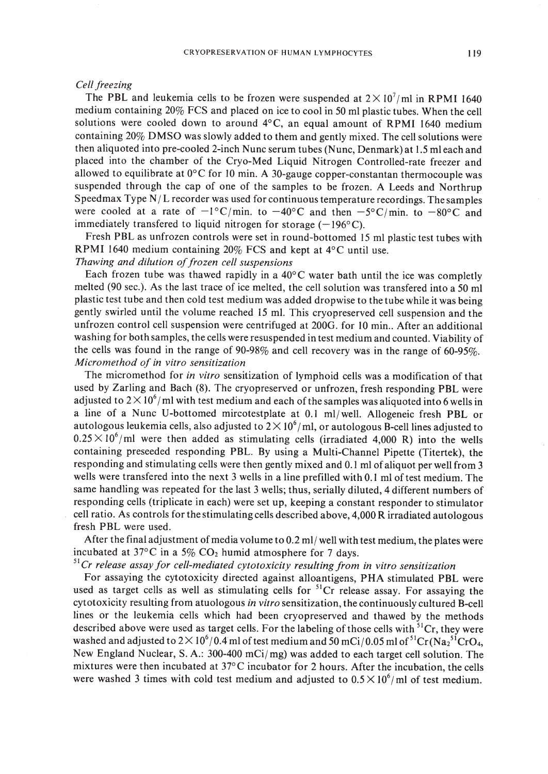#### *Cell freezing*

The PBL and leukemia cells to be frozen were suspended at  $2 \times 10^7$ /ml in RPMI 1640 medium containing 20% FCS and placed on ice to cool in 50 ml plastic tubes. When the cell solutions were cooled down to around  $4^{\circ}$ C, an equal amount of RPMI 1640 medium containing 20% DMSO was slowly added to them and gently mixed. The cell solutions were then aliquoted into pre-cooled 2-inch Nunc serum tubes (Nunc, Denmark) at 1.5 mleach and placed into the chamber of the Cryo-Med Liquid Nitrogen Controlled-rate freezer and allowed to equilibrate at  $0^{\circ}$ C for 10 min. A 30-gauge copper-constantan thermocouple was suspended through the cap of one of the samples to be frozen. A Leeds and Northrup Speedmax Type N/ L recorder was used for continuous temperature recordings. The samples were cooled at a rate of  $-1^{\circ}C/\text{min}$ . to  $-40^{\circ}C$  and then  $-5^{\circ}C/\text{min}$ . to  $-80^{\circ}C$  and immediately transfered to liquid nitrogen for storage  $(-196^{\circ}C)$ .

Fresh PBL as unfrozen controls were set in round-bottomed 15 ml plastic test tubes with RPMI 1640 medium containing 20% FCS and kept at 4°C until use.

#### *Thawing and dilution offrozen cell suspensions*

Each frozen tube was thawed rapidly in a  $40^{\circ}$ C water bath until the ice was completly melted (90 sec.). As the last trace of ice melted, the cell solution was transfered into a 50 ml plastic test tube and then cold test medium was added dropwise to the tube while it was being gently swirled until the volume reached 15 ml. This cryopreserved cell suspension and the unfrozen control cell suspension were centrifuged at 200G. for 10 min.. After an additional washing for both samples, the cells were resuspended in test medium and counted. Viability of the cells was found in the range of 90-98% and cell recovery was in the range of 60-95%. *Micromethod of in vitro sensitization*

The micromethod for *in vitro* sensitization of lymphoid cells was a modification of that used by Zarling and Bach (8). The cryopreserved or unfrozen, fresh responding PBL were adjusted to  $2\times10^6$  /ml with test medium and each of the samples was aliquoted into 6 wells in a line of a Nunc V-bottomed mircotestplate at 0.1 ml/well. Allogeneic fresh PBL or autologous leukemia cells, also adjusted to  $2\times10^6/\text{ml},$  or autologous B-cell lines adjusted to  $0.25 \times 10^6$ /ml were then added as stimulating cells (irradiated 4,000 R) into the wells containing preseeded responding PBL. By using a Multi-Channel Pipette (Titertek), the responding and stimulating cells were then gently mixed and 0.1 ml of aliquot per well from 3 wells were transfered into the next 3 wells in a line prefilled with 0.1 ml of test medium. The same handling was repeated for the last 3 wells; thus, serially diluted, 4 different numbers of responding cells (triplicate in each) were set up, keeping a constant responder to stimulator cell ratio. As controls for the stimulating cells described above, 4,000 R irradiated autologous fresh PBL were used.

After the final adjustment of media volume to 0.2 ml/ well with test medium, the plates were incubated at 37 $\rm{^{\circ}C}$  in a 5% CO<sub>2</sub> humid atmosphere for 7 days.

# <sup>51</sup> *Cr release assay for cell-mediated cytotoxicity resulting from in vitro sensitization*

For assaying the cytotoxicity directed against alloantigens, PHA stimulated PBL were used as target cells as well as stimulating cells for  ${}^{51}Cr$  release assay. For assaying the cytotoxicity resulting from atuologous *in vitro* sensitization, the continuously cultured B-cell lines or the leukemia cells which had been cryopreserved and thawed by the methods described above were used as target cells. For the labeling of those cells with  ${}^{51}Cr$ , they were washed and adjusted to 2  $\times$  10<sup>6</sup>/0.4 ml of test medium and 50 mCi/0.05 ml of <sup>51</sup>Cr(Na<sub>2</sub><sup>51</sup>CrO<sub>4</sub>, New England Nuclear, S. A.: 300-400 mCi/ mg) was added to each target cell solution. The mixtures were then incubated at 37°C incubator for 2 hours. After the incubation, the cells were washed 3 times with cold test medium and adjusted to  $0.5 \times 10^6$ /ml of test medium.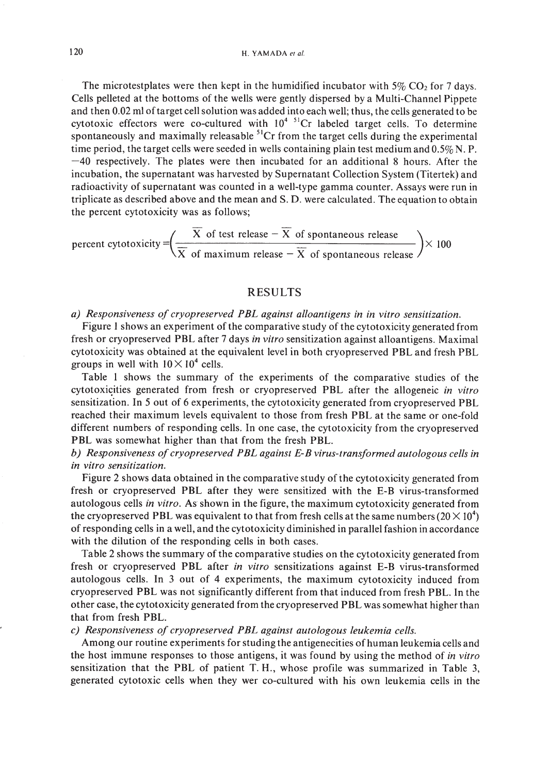The microtestplates were then kept in the humidified incubator with  $5\%$  CO<sub>2</sub> for 7 days. Cells pelleted at the bottoms of the wells were gently dispersed by a Multi-Channel Pippete and then 0.02 ml of target cell solution was added into each well; thus, the cells generated to be cytotoxic effectors were co-cultured with  $10^{4-51}$ Cr labeled target cells. To determine spontaneously and maximally releasable  ${}^{51}Cr$  from the target cells during the experimental time period, the target cells were seeded in wells containing plain test medium and  $0.5\%$  N. P.  $-40$  respectively. The plates were then incubated for an additional 8 hours. After the incubation, the supernatant was harvested by Supernatant Collection System (Titertek) and radioactivity of supernatant was counted in a well-type gamma counter. Assays were run in triplicate as described above and the mean and S. D. were calculated. The equation to obtain the percent cytotoxicity was as follows;

percent cytotoxicity = 
$$
\left(\frac{\overline{X} \text{ of test release } - \overline{X} \text{ of spontaneous release}}{\overline{X} \text{ of maximum release } - \overline{X} \text{ of spontaneous release}}\right)
$$
 × 100

#### RESULTS

#### *a) Responsiveness of cryopreserved PBL against alloantigens in in vitro sensitization.*

Figure 1 shows an experiment of the comparative study of the cytotoxicity generated from fresh or cryopreserved PBL after 7 days *in vitro* sensitization against alloantigens. Maximal cytotoxicity was obtained at the equivalent level in both cryopreserved PBL and fresh PBL groups in well with  $10 \times 10^4$  cells.

Table I shows the summary of the experiments of the comparative studies of the cytotoxisities generated from fresh or cryopreserved PBL after the allogeneic *in vitro* sensitization. In 5 out of 6 experiments, the cytotoxicity generated from cryopreserved PBL reached their maximum levels equivalent to those from fresh PBL at the same or one-fold different numbers of responding cells. In one case, the cytotoxicity from the cryopreserved PBL was somewhat higher than that from the fresh PBL.

## *b) Responsiveness ofcryopreserved PBL against E-B virus-transformed autologous cells in in vitro sensitization.*

Figure 2 shows data obtained in the comparative study of the cytotoxicity generated from fresh or cryopreserved PBL after they were sensitized with the E-B virus-transformed autologous cells *in vitro.* As shown in the figure, the maximum cytotoxicity generated from the cryopreserved PBL was equivalent to that from fresh cells at the same numbers (20  $\times$  10 $^4$ ) of responding cells in a well, and the cytotoxicity diminished in parallel fashion in accordance with the dilution of the responding cells in both cases.

Table 2 shows the summary of the comparative studies on the cytotoxicity generated from fresh or cryopreserved PBL after *in vitro* sensitizations against E-B virus-transformed autologous cells. In 3 out of 4 experiments, the maximum cytotoxicity induced from cryopreserved PBL was not significantly different from that induced from fresh PBL. In the other case, the cytotoxicity generated from the cryopreserved PBL was somewhat higher than that from fresh PBL.

#### c) *Responsiveness of cryopreserved PBL against autologous leukemia cells.*

Among our routine experiments for studing the antigenecities of human leukemia cells and the host immune responses to those antigens, it was found by using the method of *in vitro* sensitization that the PBL of patient T. H., whose profile was summarized in Table 3, generated cytotoxic cells when they wer co-cultured with his own leukemia cells in the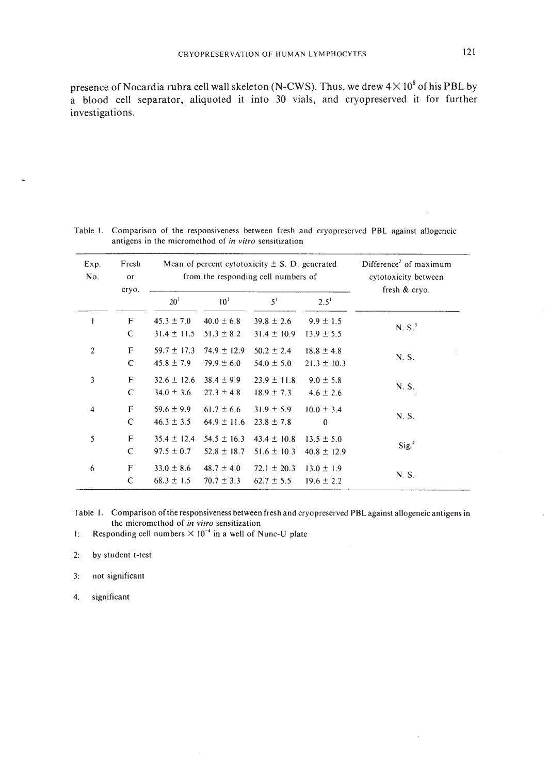presence of Nocardia rubra cell wall skeleton (N-CWS). Thus, we drew  $4 \times 10^8$  of his PBL by a blood cell separator, aliquoted it into 30 vials, and cryopreserved it for further investigations.

| Exp.<br>No.    | Fresh<br>or<br>cryo. | Mean of percent cytotoxicity $\pm$ S. D. generated<br>from the responding cell numbers of |                                    |                                    |                                   | Difference <sup>2</sup> of maximum<br>cytotoxicity between<br>fresh & cryo. |
|----------------|----------------------|-------------------------------------------------------------------------------------------|------------------------------------|------------------------------------|-----------------------------------|-----------------------------------------------------------------------------|
|                |                      | 20 <sup>1</sup>                                                                           | 10 <sup>1</sup>                    | 5 <sup>1</sup>                     | $2.5^{1}$                         |                                                                             |
| 1              | F<br>C               | $45.3 \pm 7.0$<br>$31.4 \pm 11.5$                                                         | $40.0 \pm 6.8$<br>$51.3 \pm 8.2$   | $39.8 \pm 2.6$<br>$31.4 \pm 10.9$  | $9.9 \pm 1.5$<br>$13.9 \pm 5.5$   | N. $S^3$                                                                    |
| $\overline{2}$ | F<br>$\mathsf{C}$    | $59.7 \pm 17.3$<br>$45.8 \pm 7.9$                                                         | $74.9 \pm 12.9$<br>$79.9 \pm 6.0$  | $50.2 \pm 2.4$<br>$54.0 \pm 5.0$   | $18.8 \pm 4.8$<br>$21.3 \pm 10.3$ | N. S.                                                                       |
| 3              | F<br>C               | $32.6 \pm 12.6$<br>$34.0 \pm 3.6$                                                         | $38.4 \pm 9.9$<br>$27.3 \pm 4.8$   | $23.9 \pm 11.8$<br>$18.9 \pm 7.3$  | $9.0 \pm 5.8$<br>$4.6 \pm 2.6$    | N. S.                                                                       |
| 4              | F<br>$\mathbf C$     | $59.6 \pm 9.9$<br>$46.3 \pm 3.5$                                                          | $61.7 \pm 6.6$<br>$64.9 \pm 11.6$  | $31.9 \pm 5.9$<br>$23.8 \pm 7.8$   | $10.0 \pm 3.4$<br>$\bf{0}$        | N. S.                                                                       |
| 5              | F<br>$\mathsf{C}$    | $35.4 \pm 12.4$<br>$97.5 \pm 0.7$                                                         | $54.5 \pm 16.3$<br>$52.8 \pm 18.7$ | $43.4 \pm 10.8$<br>$51.6 \pm 10.3$ | $13.5 \pm 5.0$<br>$40.8 \pm 12.9$ | Sig. <sup>4</sup>                                                           |
| 6              | F<br>C               | $33.0 \pm 8.6$<br>$68.3 \pm 1.5$                                                          | $48.7 \pm 4.0$<br>$70.7 \pm 3.3$   | $72.1 \pm 20.3$<br>$62.7 \pm 5.5$  | $13.0 \pm 1.9$<br>$19.6 \pm 2.2$  | N. S.                                                                       |

Table 1. Comparison of the responsiveness between fresh and cryopreserved PBL against allogeneic antigens in the micromethod of *in vitro* sensitization

Table I. Comparison ofthe responsiveness between fresh and cryopreserved PBL against allogeneic antigens in the micromethod of *in vitro* sensitization

1: Responding cell numbers  $\times 10^{-4}$  in a well of Nunc-U plate

2: by student t-test

3: not significant

4. significant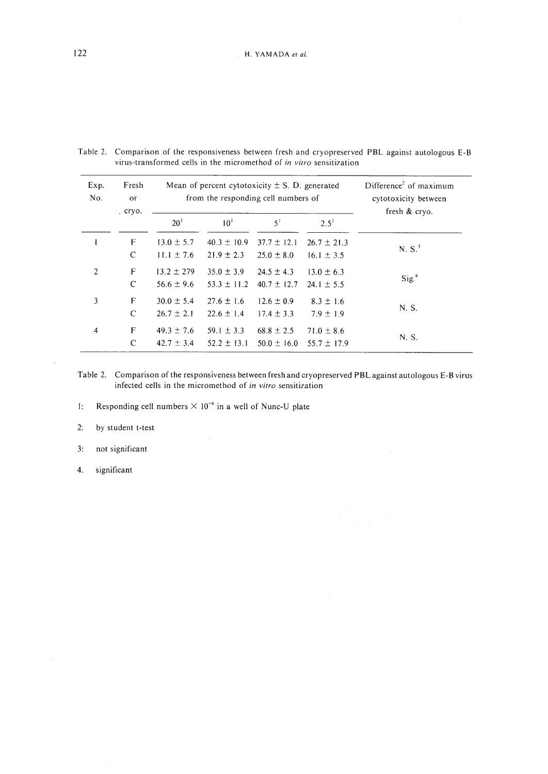| Exp.<br>No.    | Fresh<br>or<br>cryo. |                 | Mean of percent cytotoxicity $\pm$ S. D. generated<br>from the responding cell numbers of | Difference <sup>2</sup> of maximum<br>cytotoxicity between<br>fresh $&$ cryo. |                 |                   |
|----------------|----------------------|-----------------|-------------------------------------------------------------------------------------------|-------------------------------------------------------------------------------|-----------------|-------------------|
|                |                      | 20 <sup>1</sup> | 10 <sup>1</sup>                                                                           | 5 <sup>1</sup>                                                                | $2.5^1$         |                   |
|                | F                    | $13.0 \pm 5.7$  | $40.3 \pm 10.9$                                                                           | $37.7 \pm 12.1$                                                               | $26.7 \pm 21.3$ | $N.S.^3$          |
|                | $\mathsf{C}$         | $11.1 \pm 7.6$  | $21.9 \pm 2.3$                                                                            | $25.0 \pm 8.0$                                                                | $16.1 \pm 3.5$  |                   |
| $\overline{2}$ | F                    | $13.2 \pm 279$  | $35.0 \pm 3.9$                                                                            | $24.5 \pm 4.3$                                                                | $13.0 \pm 6.3$  |                   |
|                | C                    | $56.6 \pm 9.6$  | $53.3 \pm 11.2$                                                                           | $40.7 \pm 12.7$                                                               | $24.1 \pm 5.5$  | Sig. <sup>4</sup> |
| 3              | F                    | $30.0 \pm 5.4$  | $27.6 \pm 1.6$                                                                            | $12.6 \pm 0.9$                                                                | $8.3 \pm 1.6$   |                   |
|                | C                    | $26.7 \pm 2.1$  | $22.6 \pm 1.4$                                                                            | $17.4 \pm 3.3$                                                                | $7.9 \pm 1.9$   | N. S.             |
| $\overline{4}$ | F                    | $49.3 \pm 7.6$  | $59.1 \pm 3.3$                                                                            | $68.8 \pm 2.5$                                                                | $71.0 \pm 8.6$  |                   |
|                | C                    | $42.7 \pm 3.4$  | $52.2 \pm 13.1$                                                                           | $50.0 \pm 16.0$                                                               | $55.7 \pm 17.9$ | N. S.             |

Table 2. Comparison of the responsiveness between fresh and cryopreserved PBL against autologous E-B virus-transformed cells in the micromethod of *in vitro* sensitization

Table 2. Comparison of the responsiveness between fresh and cryopreserved PBL against autologous E-B virus infected cells in the micromethod of *in vitro* sensitization

I: Responding cell numbers  $\times 10^{-4}$  in a well of Nunc-U plate

2: by student t-test

3: not significant

4. significant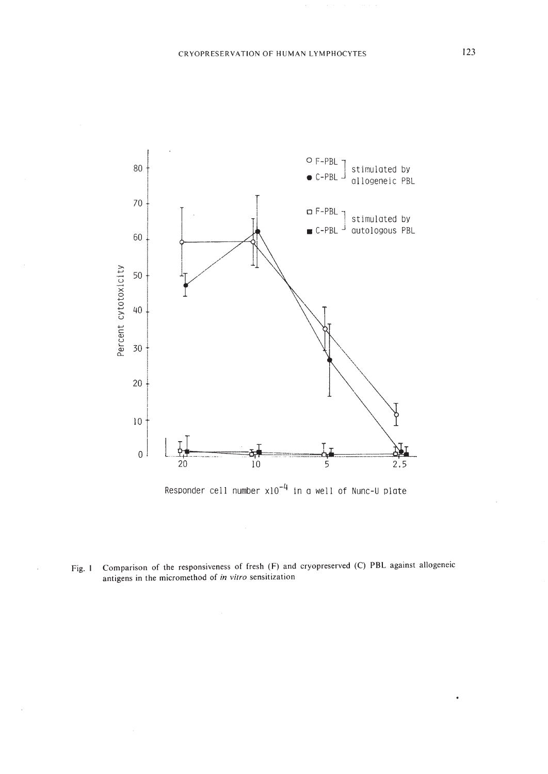



Fig. I Comparison of **the** responsiveness of fresh (F) and cryopreserved (C) **PBL** against allogeneic antigens **in the** micromethod of *in vitro* sensitization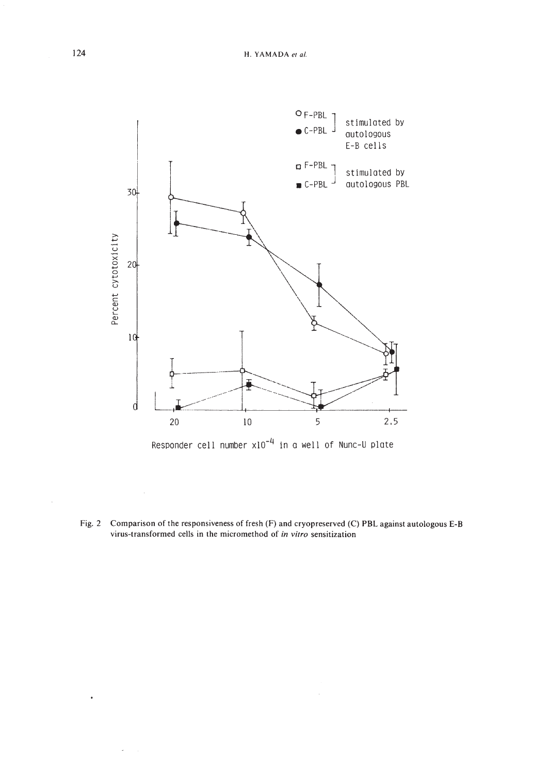

Responder cell number  $x10^{-4}$  in a well of Nunc-U plate

Fig. 2 Comparison of the responsiveness of fresh (F) and cryopreserved (C) PBL against autologous E-B virus-transformed cells in the micromethod of *in vitro* sensitization

 $\hat{\boldsymbol{\gamma}}$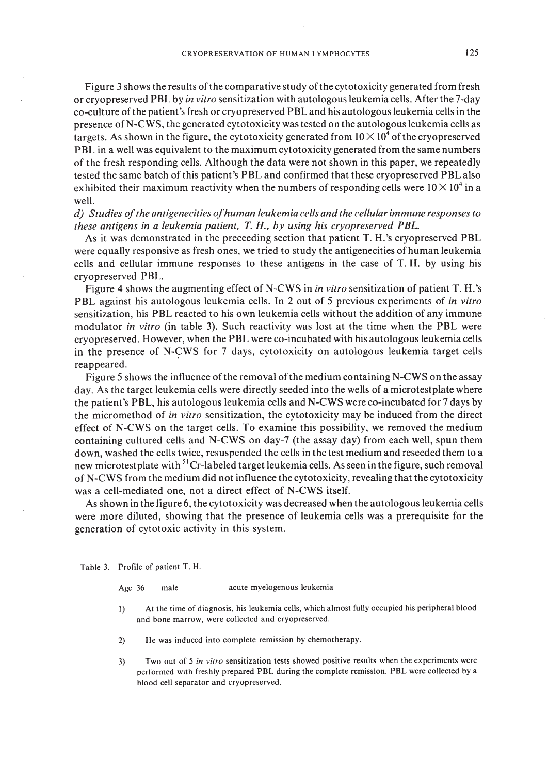Figure 3 shows the results of the comparative study of the cytotoxicity generated from fresh or cryopreserved **PBL** by *in vitro* sensitization with autologous leukemia cells. After the 7-day co-culture ofthe patient's fresh or cryopreserved **PBL** and his autologous leukemia cells in the presence of N-CWS, the generated cytotoxicity was tested on the autologous leukemia cells as targets. As shown in the figure, the cytotoxicity generated from  $10 \times 10^4$  of the cryopreserved **PBL** in a well was equivalent to the maximum cytotoxicity generated from the same numbers of the fresh responding cells. Although the data were not shown in this paper, we repeatedly tested the same batch of this patient's **PBL** and confirmed that these cryopreserved **PBL** also exhibited their maximum reactivity when the numbers of responding cells were  $10 \times 10^4$  in a well.

*d) Studies ofthe antigenecities ofhuman leukemia cells and the cellularimmune responses to these antigens in a leukemia patient, T* H., *by using his cryopreserved PBL.*

As it was demonstrated in the preceeding section that patient T. H. 's cryopreserved **PBL** were equally responsive as fresh ones, we tried to study the antigenecities of human leukemia cells and cellular immune responses to these antigens in the case of T. H. by using his cryopreserved PBL.

Figure 4 shows the augmenting effect of N-CWS in *in vitro* sensitization of patient T. H. 's **PBL** against his autologous leukemia cells. In 2 out of 5 previous experiments of *in vitro* sensitization, his **PBL** reacted to his own leukemia cells without the addition of any immune modulator *in vitro* (in table 3). Such reactivity was lost at the time when the **PBL** were cryopreserved. However, when the **PBL** were co-incubated with his autologous leukemia cells in the presence of N-CWS for 7 days, cytotoxicity on autologous leukemia target cells reappeared.

Figure 5 shows the influence of the removal of the medium containing N-CWS on the assay day. As the target leukemia cells were directly seeded into the wells of a microtestplate where the patient's PBL, his autologous leukemia cells and N-CWS were co-incubated for 7 days by the micromethod of *in vitro* sensitization, the cytotoxicity may be induced from the direct effect of N-CWS on the target cells. To examine this possibility, we removed the medium containing cultured cells and N-CWS on day-7 (the assay day) from each well, spun them down, washed the cells twice, resuspended the cells in the test medium and reseeded them to a new microtestplate with <sup>51</sup>Cr-labeled target leukemia cells. As seen in the figure, such removal of N-CWS from the medium did not influence the cytotoxicity, revealing that the cytotoxicity was a cell-mediated one, not a direct effect of N-CWS itself.

As shown in the figure 6, the cytotoxicity was decreased when the autologous leukemia cells were more diluted, showing that the presence of leukemia cells was a prerequisite for the generation of cytotoxic activity in this system.

Table 3. Profile of patient T. H.

| Age $36$ | male | acute myelogenous leukemia |  |
|----------|------|----------------------------|--|
|          |      |                            |  |

- I) At the time of diagnosis, his leukemia cells, which almost fully occupied his peripheral blood and bone marrow, were collected and cryopreserved.
- 2) He was induced into complete remission by chemotherapy.
- 3) Two out of 5 *in vitro* sensitization tests showed positive results when the experiments were performed with freshly prepared PBL during the complete remission. PBL were collected by a blood cell separator and cryopreserved.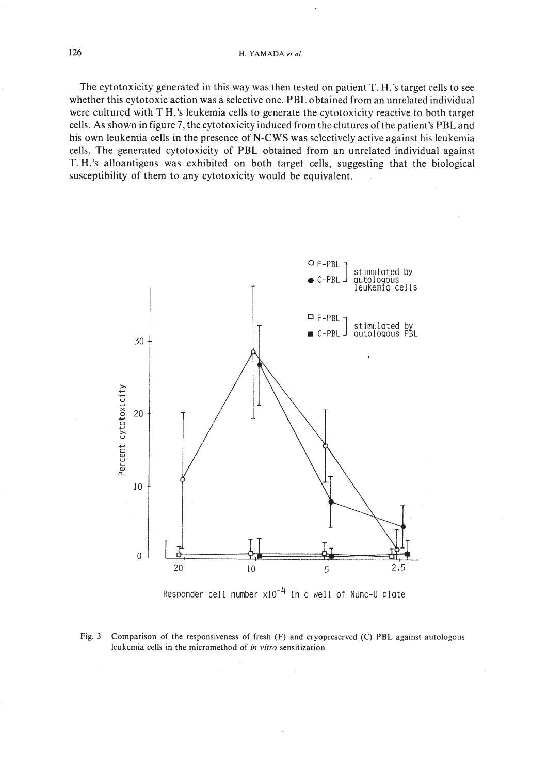#### 126 H. YAMADA *et 01.*

The cytotoxicity generated in this way was then tested on patient T. H. 's target cells to see whether this cytotoxic action was a selective one. **PBL** obtained from an unrelated individual were cultured with T H.'s leukemia cells to generate the cytotoxicity reactive to both target cells. As shown in figure 7, the cytotoxicity induced from the clutures ofthe patient's **PBL** and his own leukemia cells in the presence of N-CWS was selectively active against his leukemia cells. The generated cytotoxicity of **PBL** obtained from an unrelated individual against T. H.'s alloantigens was exhibited on both target cells, suggesting that the biological susceptibility of them to any cytotoxicity would be equivalent.





Fig. 3 Comparison of the responsiveness of fresh (F) and cryopreserved (C) PBl against autologous leukemia cells in the micromethod of *in vitro* sensitization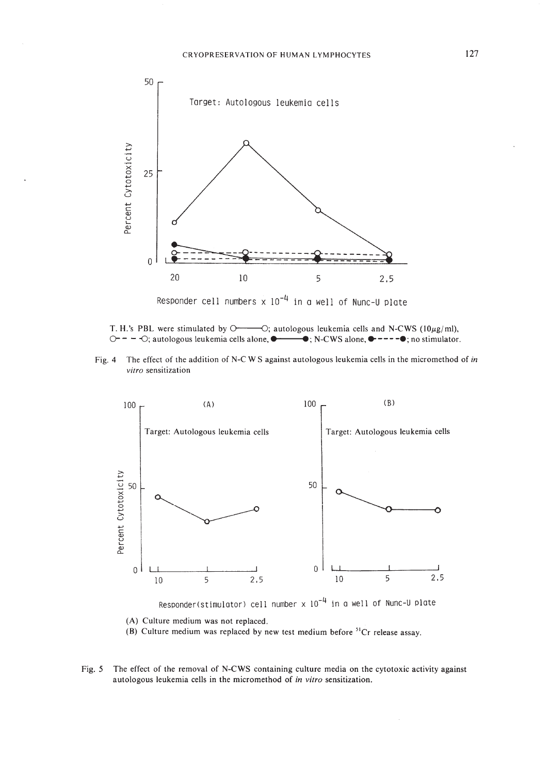

Responder cell numbers  $\times$  10<sup>-4</sup> in a well of Nunc-U plate

T. H.'s PBL were stimulated by  $O \rightarrow O$ ; autologous leukemia cells and N-CWS ( $10\mu g/ml$ ), O - - - O; autologous leukemia cells alone,  $\bullet$  →  $\bullet$ ; N-CWS alone,  $\bullet$  ---- $\bullet$ ; no stimulator.

Fig. 4 The effect of the addition of N-C W S against autologous leukemia cells in the micromethod of *in vitro* sensitization



Responder(stimulator) cell number  $\times$  10<sup>-4</sup> in a well of Nunc-U plate

(A) Culture medium was not replaced.

(B) Culture medium was replaced by new test medium before  ${}^{51}Cr$  release assay.

Fig. 5 The effect of the removal of N-CWS containing culture media on the cytotoxic activity against autologous leukemia cells in the micromethod of *in vitro* sensitization.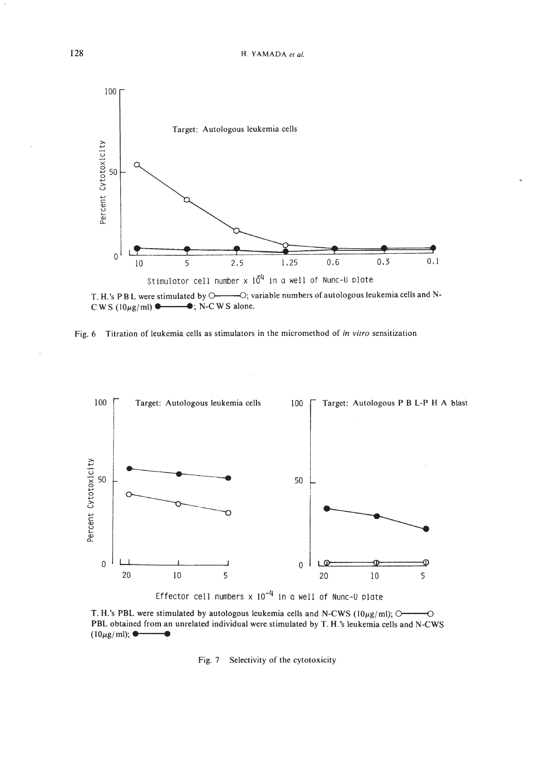

T. H.'s PBL were stimulated by O- - - O; variable numbers of autologous leukemia cells and N-C W S ( $10\mu$ g/ml) • ... ... . N-C W S alone.





Effector cell numbers  $\times$  10<sup>-4</sup> in a well of Nunc-U plate

T. H.'s PBL were stimulated by autologous leukemia cells and N-CWS ( $10\mu$ g/ml);  $O \rightarrow O$ PBL obtained from an unrelated individual were stimulated by T. H.'s leukemia cells and N-CWS  $(10\mu g/ml)$ ;  $\bullet$ 

#### Fig. 7 Selectivity of the cytotoxicity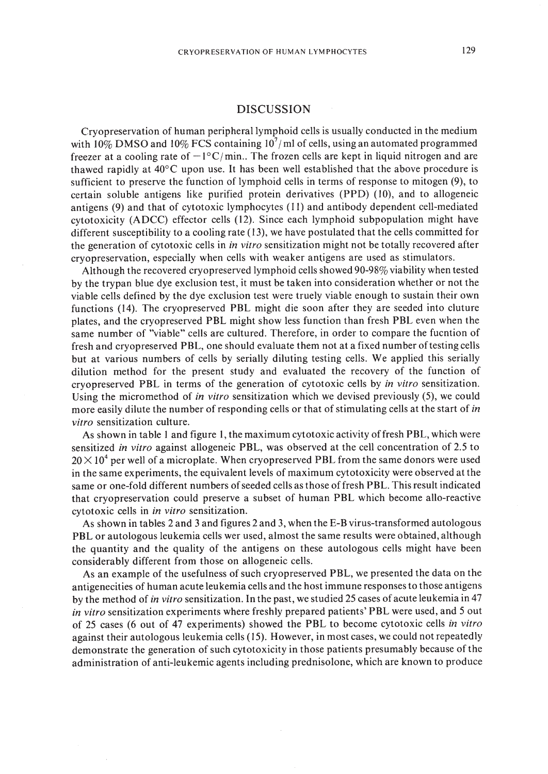#### DISCUSSION

Cryopreservation of human peripheral lymphoid cells is usually conducted in the medium with 10% DMSO and 10% FCS containing 10<sup>7</sup>/ml of cells, using an automated programmed freezer at a cooling rate of  $-1^{\circ}C/\text{min}$ .. The frozen cells are kept in liquid nitrogen and are thawed rapidly at  $40^{\circ}$ C upon use. It has been well established that the above procedure is sufficient to preserve the function of lymphoid cells in terms of response to mitogen (9), to certain soluble antigens like purified protein derivatives (PPO) (10), and to allogeneic antigens (9) and that of cytotoxic lymphocytes (II) and antibody dependent cell-mediated cytotoxicity (AOCC) effector cells (12). Since each lymphoid subpopulation might have different susceptibility to a cooling rate (13), we have postulated that the cells committed for the generation of cytotoxic cells in *in vitro* sensitization might not be totally recovered after cryopreservation, especially when cells with weaker antigens are used as stimulators.

Although the recovered cryopreserved lymphoid cells showed 90-98% viability when tested by the trypan blue dye exclusion test, it must be taken into consideration whether or not the viable cells defined by the dye exclusion test were truely viable enough to sustain their own functions (14). The cryopreserved PBL might die soon after they are seeded into cluture plates, and the cryopreserved PBL might show less function than fresh PBL even when the same number of "viable" cells are cultured. Therefore, in order to compare the fucntion of fresh and cryopreserved PBL, one should evaluate them not at a fixed number oftesting cells but at various numbers of cells by serially diluting testing cells. We applied this serially dilution method for the present study and evaluated the recovery of the function of cryopreserved PBL in terms of the generation of cytotoxic cells by *in vitro* sensitization. Using the micromethod of *in vitro* sensitization which we devised previously (5), we could more easily dilute the number of responding cells or that of stimulating cells at the start of *in vitro* sensitization culture.

As shown in table I and figure I, the maximum cytotoxic activity offresh PBL, which were sensitized *in vitro* against allogeneic PBL, was observed at the cell concentration of 2.5 to  $20 \times 10^4$  per well of a microplate. When cryopreserved PBL from the same donors were used in the same experiments, the equivalent levels of maximum cytotoxicity were observed at the same or one-fold different numbers of seeded cells as those of fresh PBL. This result indicated that cryopreservation could preserve a subset of human PBL which become allo-reactive cytotoxic cells in *in vitro* sensitization.

As shown in tables 2 and 3 and figures 2 and 3, when the E-B virus-transformed autologous PBL or autologous leukemia cells wer used, almost the same results were obtained, although the quantity and the quality of the antigens on these autologous cells might have been considerably different from those on allogeneic cells.

As an example of the usefulness of such cryopreserved PBL, we presented the data on the antigenecities of human acute leukemia cells and the host immune responses to those antigens by the method of *in vitro* sensitization. In the past, we studied 25 cases of acute leukemia in 47 *in vitro* sensitization experiments where freshly prepared patients' PBL were used, and 5 out of 25 cases (6 out of 47 experiments) showed the PBL to become cytotoxic cells *in vitro* against their autologous leukemia cells (15). However, in most cases, we could not repeatedly demonstrate the generation of such cytotoxicity in those patients presumably because of the administration of anti-leukemic agents including prednisolone, which are known to produce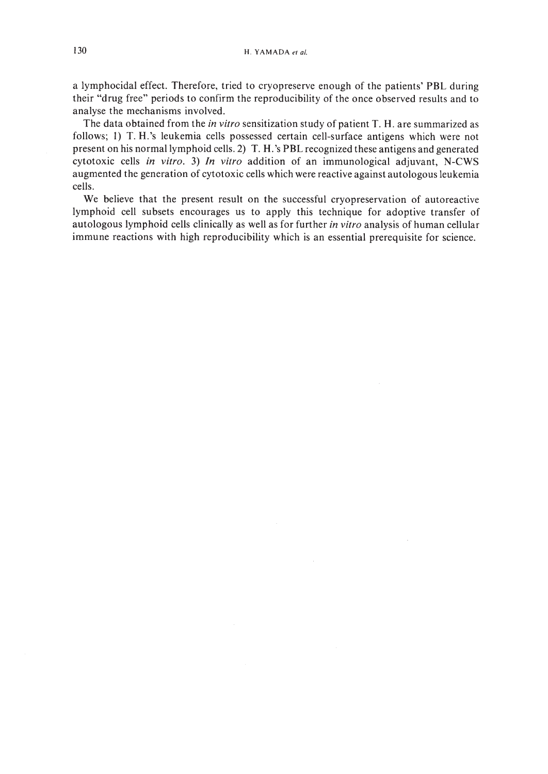a lymphocidal effect. Therefore, tried to cryopreserve enough of the patients' **PBL** during their "drug free" periods to confirm the reproducibility of the once observed results and to analyse the mechanisms involved.

The data obtained from the *in vitro* sensitization study of patient T. H. are summarized as follows; I) T. H.'s leukemia cells possessed certain cell-surface antigens which were not present on his normal lymphoid cells. 2) T. H.'s **PBL** recognized these antigens and generated cytotoxic cells *in vitro.* 3) *In vitro* addition of an immunological adjuvant, N-CWS augmented the generation of cytotoxic cells which were reactive against autologous leukemia cells.

We believe that the present result on the successful cryopreservation of autoreactive lymphoid cell subsets encourages us to apply this technique for adoptive transfer of autologous lymphoid cells clinically as well as for further *in vitro* analysis of human cellular immune reactions with high reproducibility which is an essential prerequisite for science.